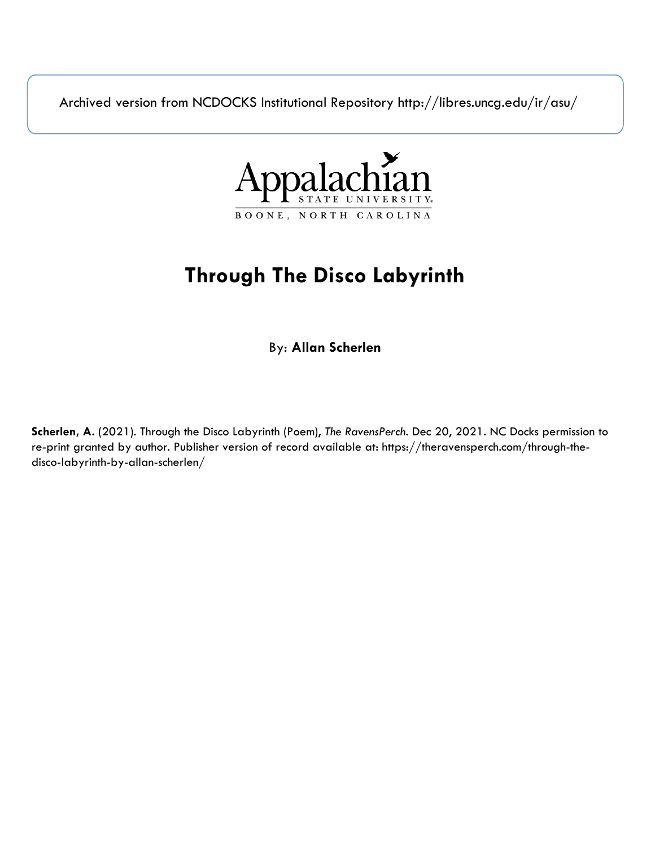Archived version from NCDOCKS Institutional Repository http://libres.uncg.edu/ir/asu/



## **Through The Disco Labyrinth**

By: **Allan Scherlen**

**Scherlen, A.** (2021). Through the Disco Labyrinth (Poem), *The RavensPerch*. Dec 20, 2021. NC Docks permission to re-print granted by author. Publisher version of record available at: https://theravensperch.com/through-thedisco-labyrinth-by-allan-scherlen/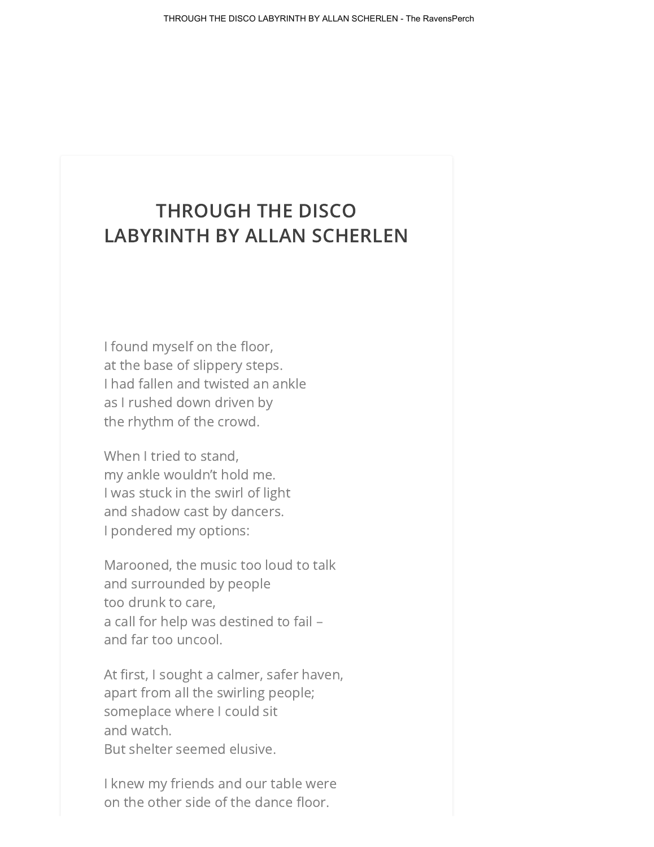## THROUGH THE DISCO LABYRINTH BY ALLAN SCHERLEN

I found myself on the floor, at the base of slippery steps. I had fallen and twisted an ankle as I rushed down driven by the rhythm of the crowd.

When I tried to stand, my ankle wouldn't hold me. I was stuck in the swirl of light and shadow cast by dancers. I pondered my options:

Marooned, the music too loud to talk and surrounded by people too drunk to care, a call for help was destined to fail – and far too uncool.

At first, I sought a calmer, safer haven, apart from all the swirling people; someplace where I could sit and watch. But shelter seemed elusive.

I knew my friends and our table were on the other side of the dance floor.